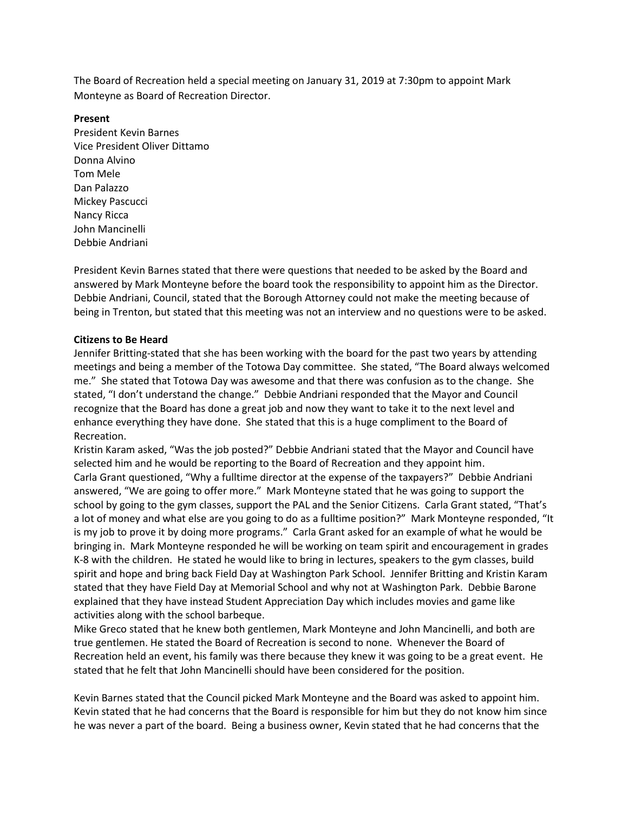The Board of Recreation held a special meeting on January 31, 2019 at 7:30pm to appoint Mark Monteyne as Board of Recreation Director.

## **Present**

President Kevin Barnes Vice President Oliver Dittamo Donna Alvino Tom Mele Dan Palazzo Mickey Pascucci Nancy Ricca John Mancinelli Debbie Andriani

President Kevin Barnes stated that there were questions that needed to be asked by the Board and answered by Mark Monteyne before the board took the responsibility to appoint him as the Director. Debbie Andriani, Council, stated that the Borough Attorney could not make the meeting because of being in Trenton, but stated that this meeting was not an interview and no questions were to be asked.

## **Citizens to Be Heard**

Jennifer Britting-stated that she has been working with the board for the past two years by attending meetings and being a member of the Totowa Day committee. She stated, "The Board always welcomed me." She stated that Totowa Day was awesome and that there was confusion as to the change. She stated, "I don't understand the change." Debbie Andriani responded that the Mayor and Council recognize that the Board has done a great job and now they want to take it to the next level and enhance everything they have done. She stated that this is a huge compliment to the Board of Recreation.

Kristin Karam asked, "Was the job posted?" Debbie Andriani stated that the Mayor and Council have selected him and he would be reporting to the Board of Recreation and they appoint him. Carla Grant questioned, "Why a fulltime director at the expense of the taxpayers?" Debbie Andriani answered, "We are going to offer more." Mark Monteyne stated that he was going to support the school by going to the gym classes, support the PAL and the Senior Citizens. Carla Grant stated, "That's a lot of money and what else are you going to do as a fulltime position?" Mark Monteyne responded, "It is my job to prove it by doing more programs." Carla Grant asked for an example of what he would be bringing in. Mark Monteyne responded he will be working on team spirit and encouragement in grades K-8 with the children. He stated he would like to bring in lectures, speakers to the gym classes, build spirit and hope and bring back Field Day at Washington Park School. Jennifer Britting and Kristin Karam stated that they have Field Day at Memorial School and why not at Washington Park. Debbie Barone explained that they have instead Student Appreciation Day which includes movies and game like activities along with the school barbeque.

Mike Greco stated that he knew both gentlemen, Mark Monteyne and John Mancinelli, and both are true gentlemen. He stated the Board of Recreation is second to none. Whenever the Board of Recreation held an event, his family was there because they knew it was going to be a great event. He stated that he felt that John Mancinelli should have been considered for the position.

Kevin Barnes stated that the Council picked Mark Monteyne and the Board was asked to appoint him. Kevin stated that he had concerns that the Board is responsible for him but they do not know him since he was never a part of the board. Being a business owner, Kevin stated that he had concerns that the